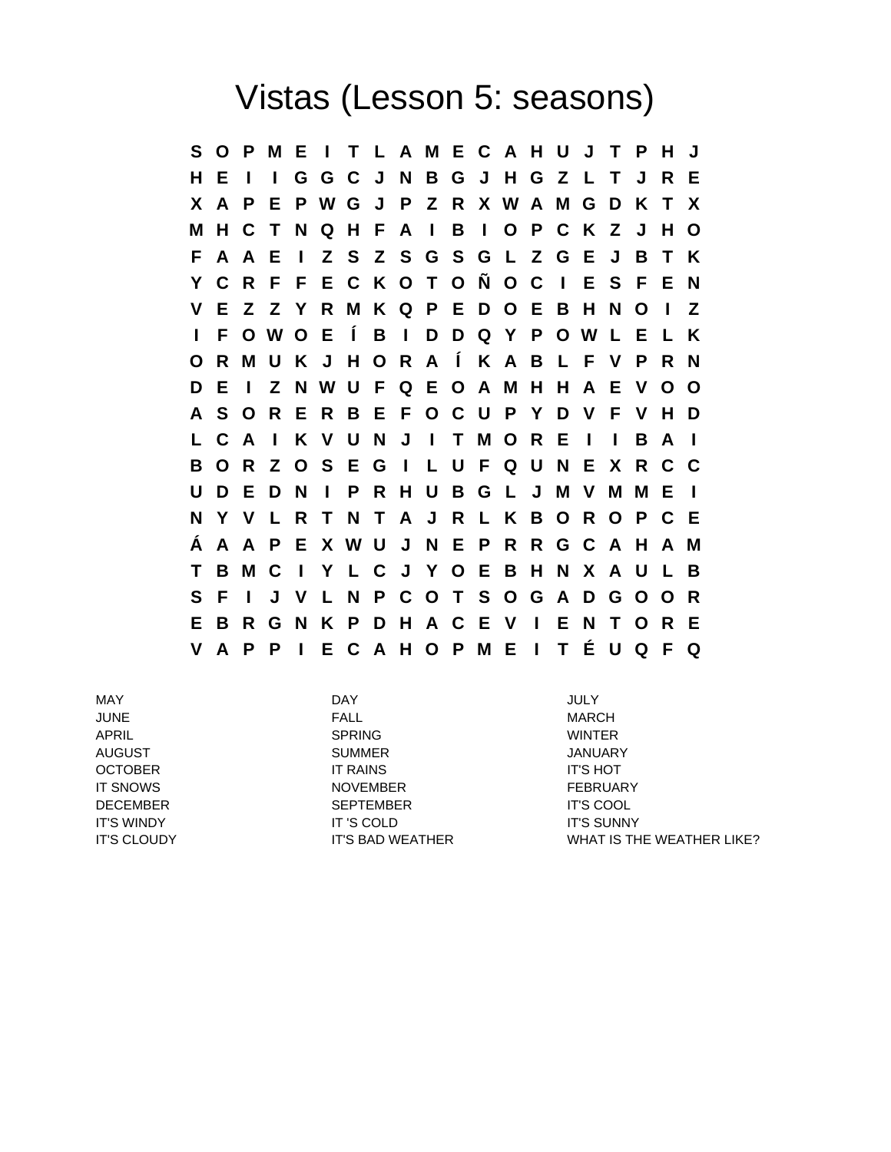## Vistas (Lesson 5: seasons)

**S O P M E I T L A M E C A H U J T P H J H E I I G G C J N B G J H G Z L T J R E X A P E P W G J P Z R X W A M G D K T X M H C T N Q H F A I B I O P C K Z J H O F A A E I Z S Z S G S G L Z G E J B T K Y C R F F E C K O T O Ñ O C I E S F E N V E Z Z Y R M K Q P E D O E B H N O I Z I F O W O E Í B I D D Q Y P O W L E L K O R M U K J H O R A Í K A B L F V P R N D E I Z N W U F Q E O A M H H A E V O O A S O R E R B E F O C U P Y D V F V H D L C A I K V U N J I T M O R E I I B A I B O R Z O S E G I L U F Q U N E X R C C U D E D N I P R H U B G L J M V M M E I N Y V L R T N T A J R L K B O R O P C E Á A A P E X W U J N E P R R G C A H A M T B M C I Y L C J Y O E B H N X A U L B S F I J V L N P C O T S O G A D G O O R E B R G N K P D H A C E V I E N T O R E V A P P I E C A H O P M E I T É U Q F Q**

MAY DAY JULY JUNE FALL MARCH APRIL SPRING WINTER AUGUST SUMMER JANUARY OCTOBER IT RAINS IT'S HOT IT SNOWS **NOVEMBER NOTE REBRUARY** DECEMBER SEPTEMBER IT'S COOL IT'S WINDY IT 'S COLD IT'S SUNNY

IT'S CLOUDY **IT'S BAD WEATHER WHAT IS THE WEATHER LIKE?**